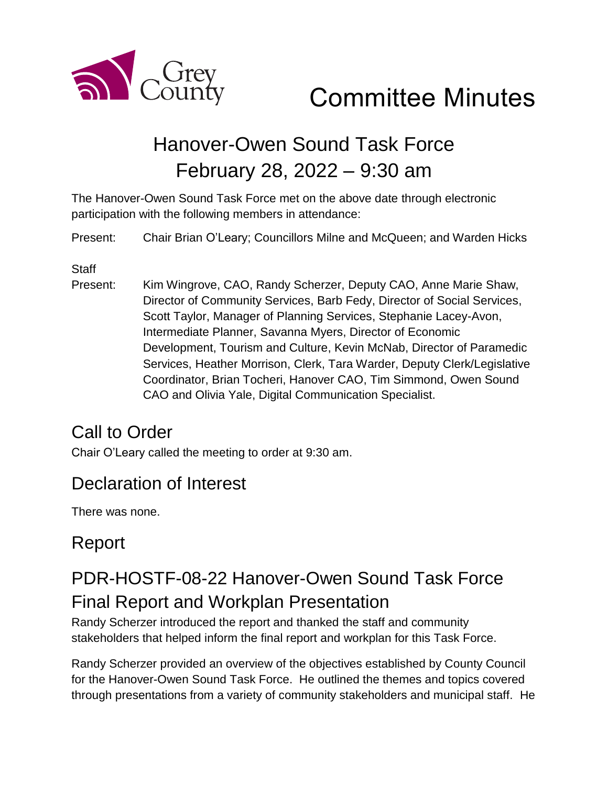

# Committee Minutes

## Hanover-Owen Sound Task Force February 28, 2022 – 9:30 am

The Hanover-Owen Sound Task Force met on the above date through electronic participation with the following members in attendance:

Present: Chair Brian O'Leary; Councillors Milne and McQueen; and Warden Hicks

**Staff** 

Present: Kim Wingrove, CAO, Randy Scherzer, Deputy CAO, Anne Marie Shaw, Director of Community Services, Barb Fedy, Director of Social Services, Scott Taylor, Manager of Planning Services, Stephanie Lacey-Avon, Intermediate Planner, Savanna Myers, Director of Economic Development, Tourism and Culture, Kevin McNab, Director of Paramedic Services, Heather Morrison, Clerk, Tara Warder, Deputy Clerk/Legislative Coordinator, Brian Tocheri, Hanover CAO, Tim Simmond, Owen Sound CAO and Olivia Yale, Digital Communication Specialist.

## Call to Order

Chair O'Leary called the meeting to order at 9:30 am.

## Declaration of Interest

There was none.

## Report

## PDR-HOSTF-08-22 Hanover-Owen Sound Task Force Final Report and Workplan Presentation

Randy Scherzer introduced the report and thanked the staff and community stakeholders that helped inform the final report and workplan for this Task Force.

Randy Scherzer provided an overview of the objectives established by County Council for the Hanover-Owen Sound Task Force. He outlined the themes and topics covered through presentations from a variety of community stakeholders and municipal staff. He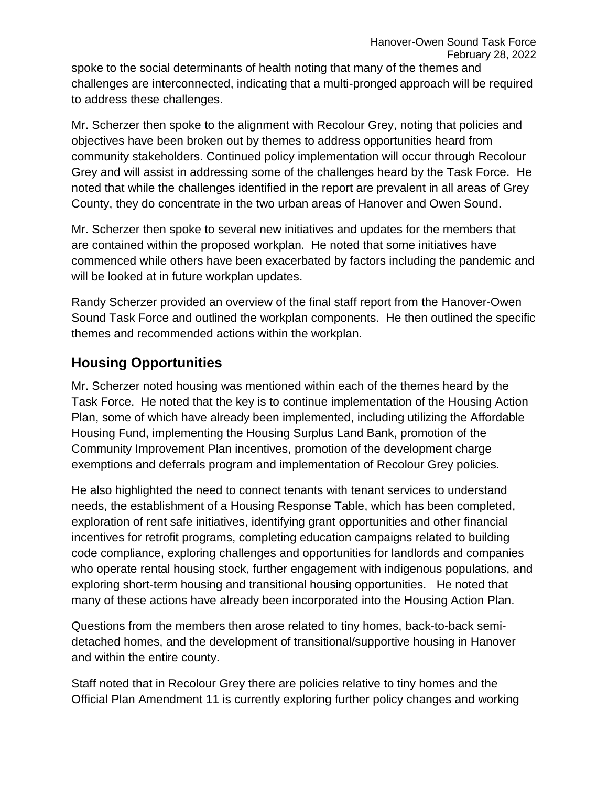spoke to the social determinants of health noting that many of the themes and challenges are interconnected, indicating that a multi-pronged approach will be required to address these challenges.

Mr. Scherzer then spoke to the alignment with Recolour Grey, noting that policies and objectives have been broken out by themes to address opportunities heard from community stakeholders. Continued policy implementation will occur through Recolour Grey and will assist in addressing some of the challenges heard by the Task Force. He noted that while the challenges identified in the report are prevalent in all areas of Grey County, they do concentrate in the two urban areas of Hanover and Owen Sound.

Mr. Scherzer then spoke to several new initiatives and updates for the members that are contained within the proposed workplan. He noted that some initiatives have commenced while others have been exacerbated by factors including the pandemic and will be looked at in future workplan updates.

Randy Scherzer provided an overview of the final staff report from the Hanover-Owen Sound Task Force and outlined the workplan components. He then outlined the specific themes and recommended actions within the workplan.

#### **Housing Opportunities**

Mr. Scherzer noted housing was mentioned within each of the themes heard by the Task Force. He noted that the key is to continue implementation of the Housing Action Plan, some of which have already been implemented, including utilizing the Affordable Housing Fund, implementing the Housing Surplus Land Bank, promotion of the Community Improvement Plan incentives, promotion of the development charge exemptions and deferrals program and implementation of Recolour Grey policies.

He also highlighted the need to connect tenants with tenant services to understand needs, the establishment of a Housing Response Table, which has been completed, exploration of rent safe initiatives, identifying grant opportunities and other financial incentives for retrofit programs, completing education campaigns related to building code compliance, exploring challenges and opportunities for landlords and companies who operate rental housing stock, further engagement with indigenous populations, and exploring short-term housing and transitional housing opportunities. He noted that many of these actions have already been incorporated into the Housing Action Plan.

Questions from the members then arose related to tiny homes, back-to-back semidetached homes, and the development of transitional/supportive housing in Hanover and within the entire county.

Staff noted that in Recolour Grey there are policies relative to tiny homes and the Official Plan Amendment 11 is currently exploring further policy changes and working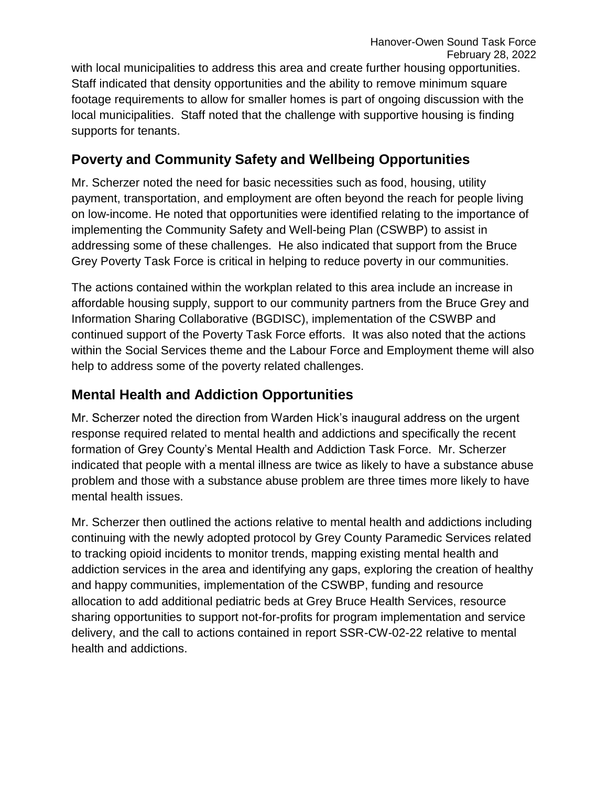with local municipalities to address this area and create further housing opportunities. Staff indicated that density opportunities and the ability to remove minimum square footage requirements to allow for smaller homes is part of ongoing discussion with the local municipalities. Staff noted that the challenge with supportive housing is finding supports for tenants.

#### **Poverty and Community Safety and Wellbeing Opportunities**

Mr. Scherzer noted the need for basic necessities such as food, housing, utility payment, transportation, and employment are often beyond the reach for people living on low-income. He noted that opportunities were identified relating to the importance of implementing the Community Safety and Well-being Plan (CSWBP) to assist in addressing some of these challenges. He also indicated that support from the Bruce Grey Poverty Task Force is critical in helping to reduce poverty in our communities.

The actions contained within the workplan related to this area include an increase in affordable housing supply, support to our community partners from the Bruce Grey and Information Sharing Collaborative (BGDISC), implementation of the CSWBP and continued support of the Poverty Task Force efforts. It was also noted that the actions within the Social Services theme and the Labour Force and Employment theme will also help to address some of the poverty related challenges.

#### **Mental Health and Addiction Opportunities**

Mr. Scherzer noted the direction from Warden Hick's inaugural address on the urgent response required related to mental health and addictions and specifically the recent formation of Grey County's Mental Health and Addiction Task Force. Mr. Scherzer indicated that people with a mental illness are twice as likely to have a substance abuse problem and those with a substance abuse problem are three times more likely to have mental health issues.

Mr. Scherzer then outlined the actions relative to mental health and addictions including continuing with the newly adopted protocol by Grey County Paramedic Services related to tracking opioid incidents to monitor trends, mapping existing mental health and addiction services in the area and identifying any gaps, exploring the creation of healthy and happy communities, implementation of the CSWBP, funding and resource allocation to add additional pediatric beds at Grey Bruce Health Services, resource sharing opportunities to support not-for-profits for program implementation and service delivery, and the call to actions contained in report SSR-CW-02-22 relative to mental health and addictions.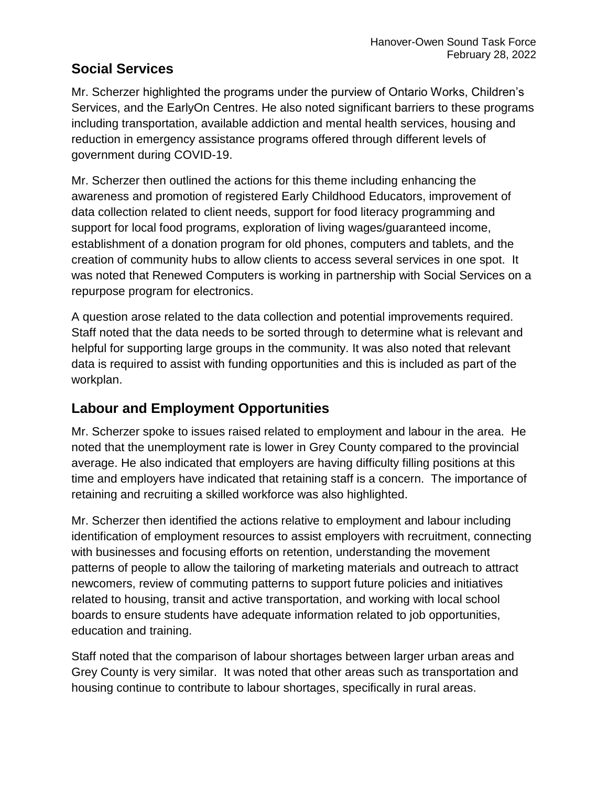#### **Social Services**

Mr. Scherzer highlighted the programs under the purview of Ontario Works, Children's Services, and the EarlyOn Centres. He also noted significant barriers to these programs including transportation, available addiction and mental health services, housing and reduction in emergency assistance programs offered through different levels of government during COVID-19.

Mr. Scherzer then outlined the actions for this theme including enhancing the awareness and promotion of registered Early Childhood Educators, improvement of data collection related to client needs, support for food literacy programming and support for local food programs, exploration of living wages/guaranteed income, establishment of a donation program for old phones, computers and tablets, and the creation of community hubs to allow clients to access several services in one spot. It was noted that Renewed Computers is working in partnership with Social Services on a repurpose program for electronics.

A question arose related to the data collection and potential improvements required. Staff noted that the data needs to be sorted through to determine what is relevant and helpful for supporting large groups in the community. It was also noted that relevant data is required to assist with funding opportunities and this is included as part of the workplan.

#### **Labour and Employment Opportunities**

Mr. Scherzer spoke to issues raised related to employment and labour in the area. He noted that the unemployment rate is lower in Grey County compared to the provincial average. He also indicated that employers are having difficulty filling positions at this time and employers have indicated that retaining staff is a concern. The importance of retaining and recruiting a skilled workforce was also highlighted.

Mr. Scherzer then identified the actions relative to employment and labour including identification of employment resources to assist employers with recruitment, connecting with businesses and focusing efforts on retention, understanding the movement patterns of people to allow the tailoring of marketing materials and outreach to attract newcomers, review of commuting patterns to support future policies and initiatives related to housing, transit and active transportation, and working with local school boards to ensure students have adequate information related to job opportunities, education and training.

Staff noted that the comparison of labour shortages between larger urban areas and Grey County is very similar. It was noted that other areas such as transportation and housing continue to contribute to labour shortages, specifically in rural areas.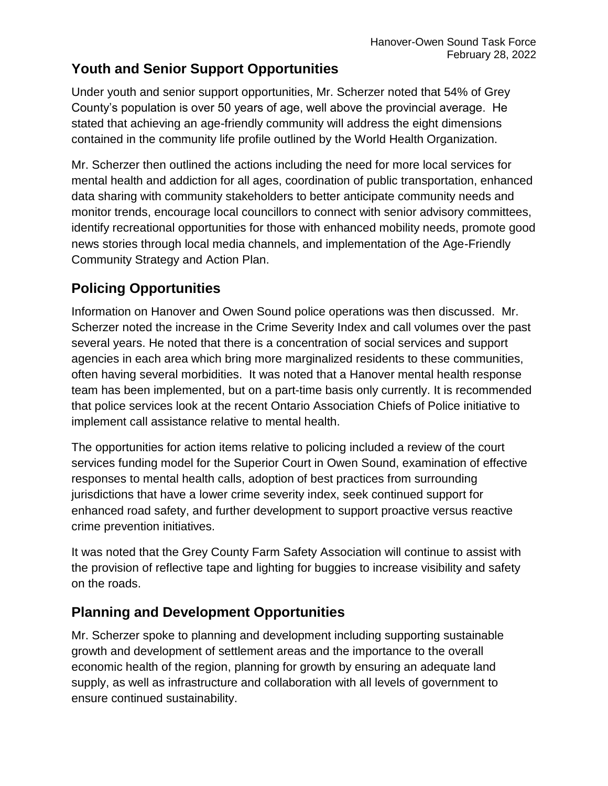#### **Youth and Senior Support Opportunities**

Under youth and senior support opportunities, Mr. Scherzer noted that 54% of Grey County's population is over 50 years of age, well above the provincial average. He stated that achieving an age-friendly community will address the eight dimensions contained in the community life profile outlined by the World Health Organization.

Mr. Scherzer then outlined the actions including the need for more local services for mental health and addiction for all ages, coordination of public transportation, enhanced data sharing with community stakeholders to better anticipate community needs and monitor trends, encourage local councillors to connect with senior advisory committees, identify recreational opportunities for those with enhanced mobility needs, promote good news stories through local media channels, and implementation of the Age-Friendly Community Strategy and Action Plan.

#### **Policing Opportunities**

Information on Hanover and Owen Sound police operations was then discussed. Mr. Scherzer noted the increase in the Crime Severity Index and call volumes over the past several years. He noted that there is a concentration of social services and support agencies in each area which bring more marginalized residents to these communities, often having several morbidities. It was noted that a Hanover mental health response team has been implemented, but on a part-time basis only currently. It is recommended that police services look at the recent Ontario Association Chiefs of Police initiative to implement call assistance relative to mental health.

The opportunities for action items relative to policing included a review of the court services funding model for the Superior Court in Owen Sound, examination of effective responses to mental health calls, adoption of best practices from surrounding jurisdictions that have a lower crime severity index, seek continued support for enhanced road safety, and further development to support proactive versus reactive crime prevention initiatives.

It was noted that the Grey County Farm Safety Association will continue to assist with the provision of reflective tape and lighting for buggies to increase visibility and safety on the roads.

#### **Planning and Development Opportunities**

Mr. Scherzer spoke to planning and development including supporting sustainable growth and development of settlement areas and the importance to the overall economic health of the region, planning for growth by ensuring an adequate land supply, as well as infrastructure and collaboration with all levels of government to ensure continued sustainability.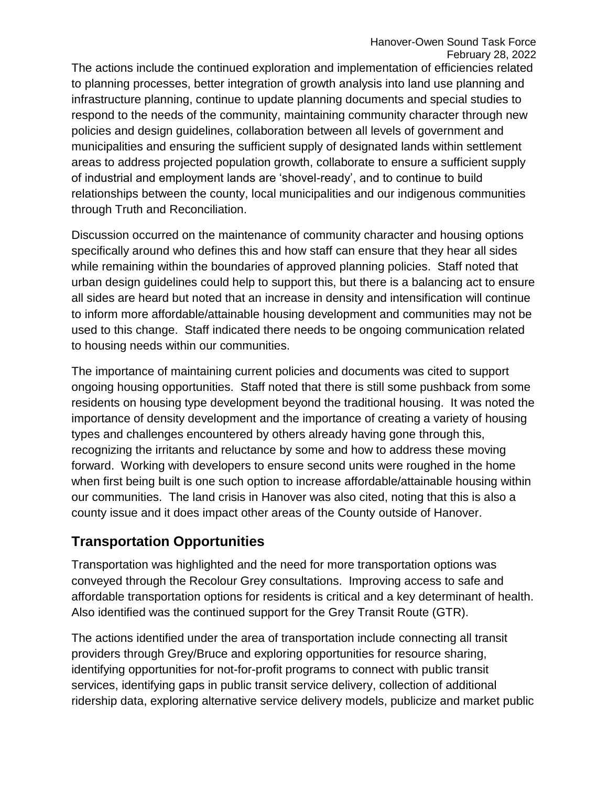The actions include the continued exploration and implementation of efficiencies related to planning processes, better integration of growth analysis into land use planning and infrastructure planning, continue to update planning documents and special studies to respond to the needs of the community, maintaining community character through new policies and design guidelines, collaboration between all levels of government and municipalities and ensuring the sufficient supply of designated lands within settlement areas to address projected population growth, collaborate to ensure a sufficient supply of industrial and employment lands are 'shovel-ready', and to continue to build relationships between the county, local municipalities and our indigenous communities through Truth and Reconciliation.

Discussion occurred on the maintenance of community character and housing options specifically around who defines this and how staff can ensure that they hear all sides while remaining within the boundaries of approved planning policies. Staff noted that urban design guidelines could help to support this, but there is a balancing act to ensure all sides are heard but noted that an increase in density and intensification will continue to inform more affordable/attainable housing development and communities may not be used to this change. Staff indicated there needs to be ongoing communication related to housing needs within our communities.

The importance of maintaining current policies and documents was cited to support ongoing housing opportunities. Staff noted that there is still some pushback from some residents on housing type development beyond the traditional housing. It was noted the importance of density development and the importance of creating a variety of housing types and challenges encountered by others already having gone through this, recognizing the irritants and reluctance by some and how to address these moving forward. Working with developers to ensure second units were roughed in the home when first being built is one such option to increase affordable/attainable housing within our communities. The land crisis in Hanover was also cited, noting that this is also a county issue and it does impact other areas of the County outside of Hanover.

#### **Transportation Opportunities**

Transportation was highlighted and the need for more transportation options was conveyed through the Recolour Grey consultations. Improving access to safe and affordable transportation options for residents is critical and a key determinant of health. Also identified was the continued support for the Grey Transit Route (GTR).

The actions identified under the area of transportation include connecting all transit providers through Grey/Bruce and exploring opportunities for resource sharing, identifying opportunities for not-for-profit programs to connect with public transit services, identifying gaps in public transit service delivery, collection of additional ridership data, exploring alternative service delivery models, publicize and market public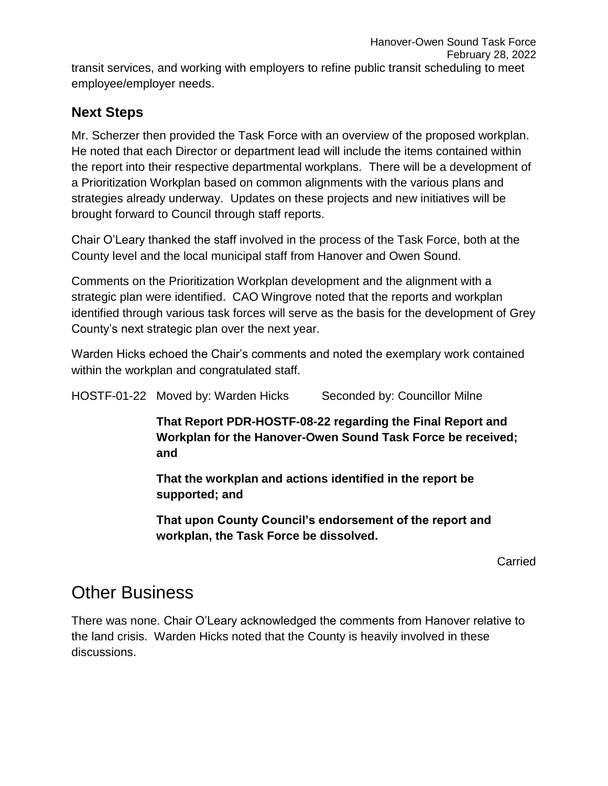#### **Next Steps**

Mr. Scherzer then provided the Task Force with an overview of the proposed workplan. He noted that each Director or department lead will include the items contained within the report into their respective departmental workplans. There will be a development of a Prioritization Workplan based on common alignments with the various plans and strategies already underway. Updates on these projects and new initiatives will be brought forward to Council through staff reports.

Chair O'Leary thanked the staff involved in the process of the Task Force, both at the County level and the local municipal staff from Hanover and Owen Sound.

Comments on the Prioritization Workplan development and the alignment with a strategic plan were identified. CAO Wingrove noted that the reports and workplan identified through various task forces will serve as the basis for the development of Grey County's next strategic plan over the next year.

Warden Hicks echoed the Chair's comments and noted the exemplary work contained within the workplan and congratulated staff.

HOSTF-01-22 Moved by: Warden Hicks Seconded by: Councillor Milne

**That Report PDR-HOSTF-08-22 regarding the Final Report and Workplan for the Hanover-Owen Sound Task Force be received; and**

**That the workplan and actions identified in the report be supported; and**

**That upon County Council's endorsement of the report and workplan, the Task Force be dissolved.** 

Carried

### Other Business

There was none. Chair O'Leary acknowledged the comments from Hanover relative to the land crisis. Warden Hicks noted that the County is heavily involved in these discussions.